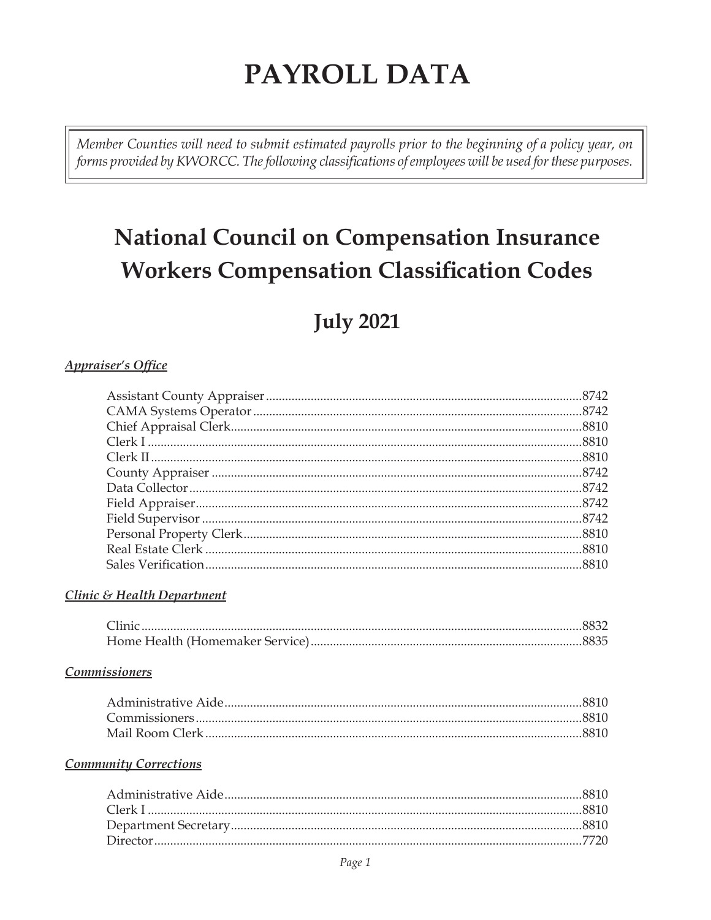# PAYROLL DATA

Member Counties will need to submit estimated payrolls prior to the beginning of a policy year, on forms provided by KWORCC. The following classifications of employees will be used for these purposes.

# **National Council on Compensation Insurance Workers Compensation Classification Codes**

## **July 2021**

#### **Appraiser's Office**

#### Clinic & Health Department

#### **Commissioners**

#### **Community Corrections**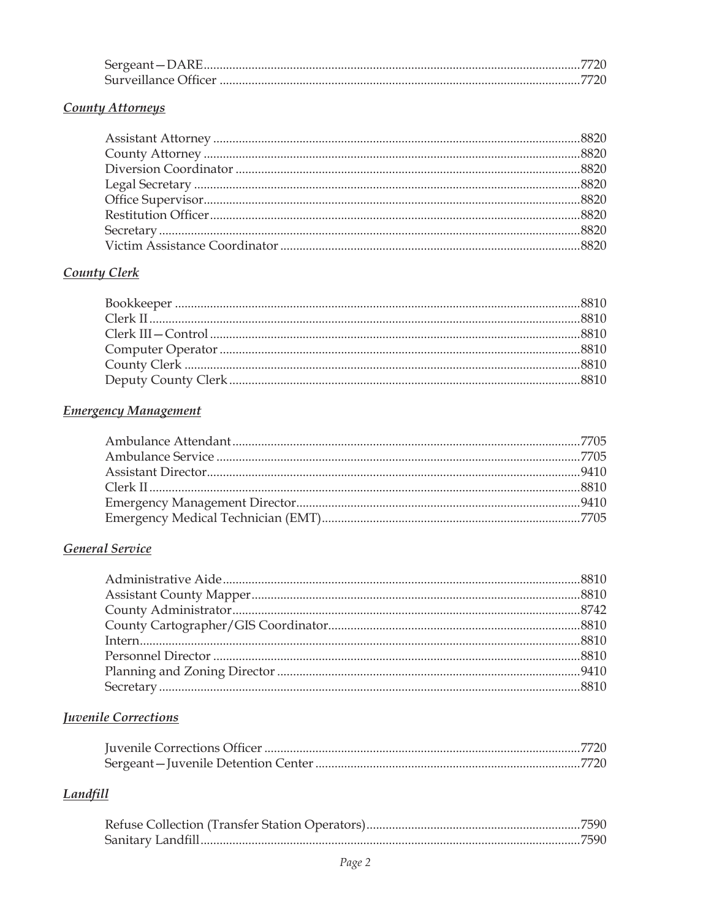#### **County Attorneys**

### **County Clerk**

### **Emergency Management**

### General Service

### **Juvenile Corrections**

### **Landfill**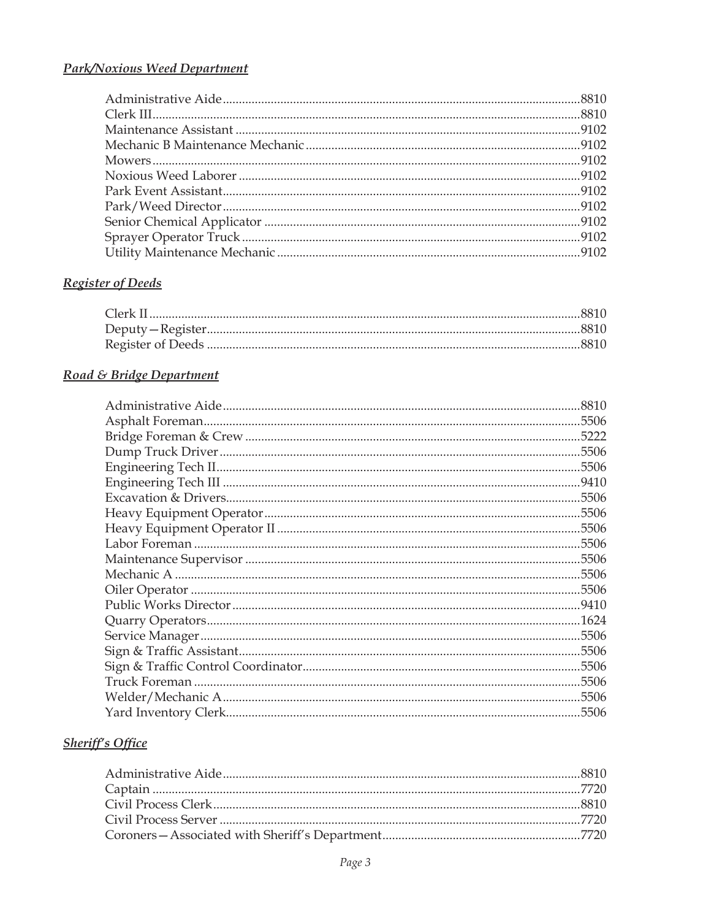### **Park/Noxious Weed Department**

## Register of Deeds

### Road & Bridge Department

| .8810 |
|-------|
| .5506 |
| .5222 |
| .5506 |
| .5506 |
| .9410 |
| .5506 |
| .5506 |
| .5506 |
| .5506 |
| .5506 |
| 5506  |
| .5506 |
|       |
| .1624 |
| 5506  |
| .5506 |
| .5506 |
| 5506  |
| .5506 |
| 5506  |
|       |

## **Sheriff's Office**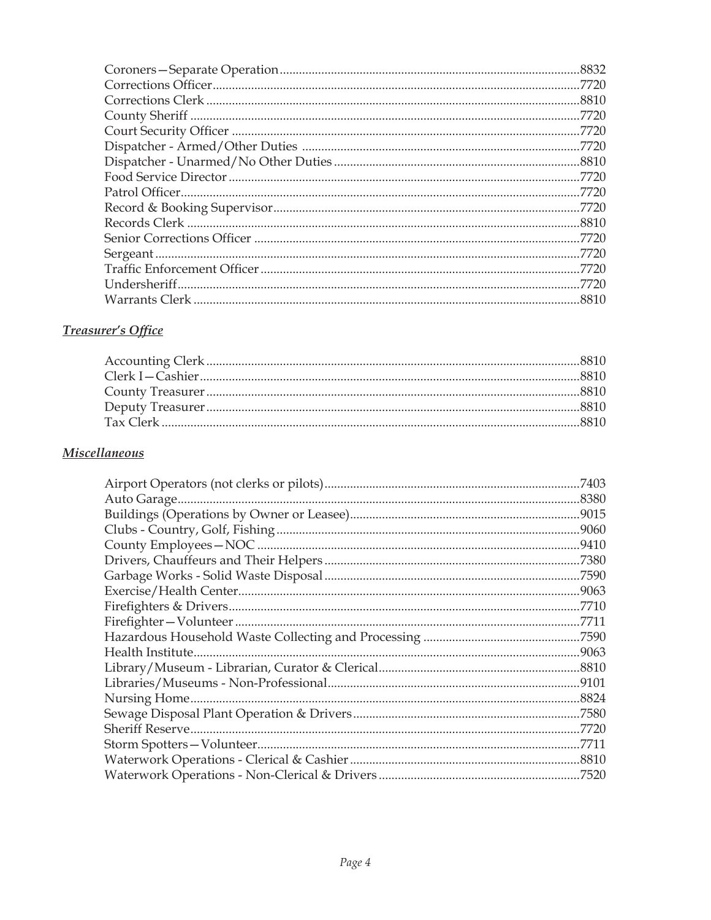| .7720 |
|-------|
|       |
|       |
|       |
|       |
|       |
|       |
|       |
|       |
|       |
|       |
|       |
|       |
| .7720 |
|       |

### **Treasurer's Office**

### **Miscellaneous**

| .7403 |
|-------|
|       |
|       |
|       |
| .9410 |
| .7380 |
|       |
|       |
| .7710 |
| .7711 |
| .7590 |
|       |
| .8810 |
|       |
|       |
|       |
|       |
| .7711 |
| .8810 |
|       |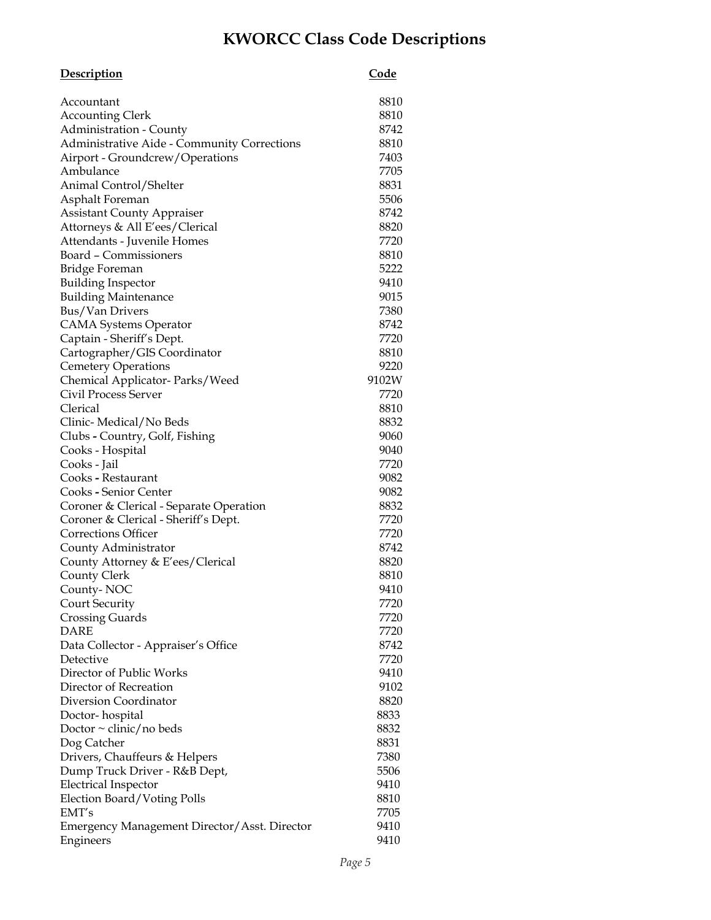## **KWORCC Class Code Descriptions**

| <b>Description</b>                                 | <u>Code</u> |
|----------------------------------------------------|-------------|
| Accountant                                         | 8810        |
| <b>Accounting Clerk</b>                            | 8810        |
| <b>Administration - County</b>                     | 8742        |
| <b>Administrative Aide - Community Corrections</b> | 8810        |
| Airport - Groundcrew/Operations                    | 7403        |
| Ambulance                                          | 7705        |
| Animal Control/Shelter                             | 8831        |
| Asphalt Foreman                                    | 5506        |
| <b>Assistant County Appraiser</b>                  | 8742        |
| Attorneys & All E'ees/Clerical                     | 8820        |
| Attendants - Juvenile Homes                        | 7720        |
| Board – Commissioners                              | 8810        |
| Bridge Foreman                                     | 5222        |
| <b>Building Inspector</b>                          | 9410        |
| <b>Building Maintenance</b>                        | 9015        |
| <b>Bus/Van Drivers</b>                             | 7380        |
| <b>CAMA Systems Operator</b>                       | 8742        |
| Captain - Sheriff's Dept.                          | 7720        |
| Cartographer/GIS Coordinator                       | 8810        |
| <b>Cemetery Operations</b>                         | 9220        |
| Chemical Applicator-Parks/Weed                     | 9102W       |
| <b>Civil Process Server</b>                        | 7720        |
| Clerical                                           | 8810        |
| Clinic-Medical/No Beds                             | 8832        |
| Clubs - Country, Golf, Fishing                     | 9060        |
| Cooks - Hospital                                   | 9040        |
| Cooks - Jail                                       | 7720        |
| Cooks - Restaurant                                 | 9082        |
| Cooks - Senior Center                              | 9082        |
| Coroner & Clerical - Separate Operation            | 8832        |
| Coroner & Clerical - Sheriff's Dept.               | 7720        |
| Corrections Officer                                | 7720        |
| County Administrator                               | 8742        |
| County Attorney & E'ees/Clerical                   | 8820        |
| County Clerk                                       | 8810        |
| County-NOC                                         | 9410        |
| Court Security                                     | 7720        |
| <b>Crossing Guards</b>                             | 7720        |
| DARE                                               | 7720        |
| Data Collector - Appraiser's Office                | 8742        |
| Detective                                          | 7720        |
| Director of Public Works                           | 9410        |
| Director of Recreation                             | 9102        |
| Diversion Coordinator                              | 8820        |
| Doctor-hospital                                    | 8833        |
| Doctor $\sim$ clinic/no beds                       | 8832        |
| Dog Catcher                                        | 8831        |
| Drivers, Chauffeurs & Helpers                      | 7380        |
| Dump Truck Driver - R&B Dept,                      | 5506        |
| <b>Electrical Inspector</b>                        | 9410        |
| Election Board/Voting Polls                        | 8810        |
| EMT's                                              | 7705        |
| Emergency Management Director/Asst. Director       | 9410        |
| Engineers                                          | 9410        |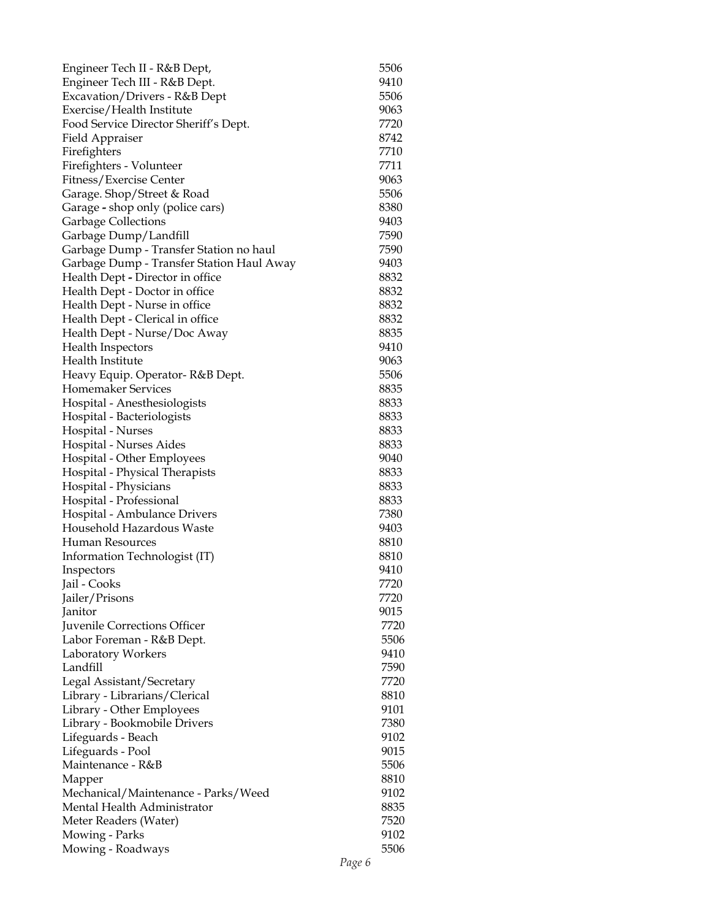| Engineer Tech II - R&B Dept,              | 5506 |
|-------------------------------------------|------|
| Engineer Tech III - R&B Dept.             | 9410 |
| Excavation/Drivers - R&B Dept             | 5506 |
| Exercise/Health Institute                 | 9063 |
| Food Service Director Sheriff's Dept.     | 7720 |
| Field Appraiser                           | 8742 |
| Firefighters                              | 7710 |
| Firefighters - Volunteer                  | 7711 |
| Fitness/Exercise Center                   | 9063 |
| Garage. Shop/Street & Road                | 5506 |
| Garage - shop only (police cars)          | 8380 |
| <b>Garbage Collections</b>                | 9403 |
| Garbage Dump/Landfill                     | 7590 |
| Garbage Dump - Transfer Station no haul   | 7590 |
| Garbage Dump - Transfer Station Haul Away | 9403 |
| Health Dept - Director in office          | 8832 |
| Health Dept - Doctor in office            | 8832 |
| Health Dept - Nurse in office             | 8832 |
| Health Dept - Clerical in office          | 8832 |
| Health Dept - Nurse/Doc Away              | 8835 |
| <b>Health Inspectors</b>                  | 9410 |
| Health Institute                          | 9063 |
| Heavy Equip. Operator-R&B Dept.           | 5506 |
| Homemaker Services                        | 8835 |
| Hospital - Anesthesiologists              | 8833 |
| Hospital - Bacteriologists                | 8833 |
| Hospital - Nurses                         | 8833 |
| Hospital - Nurses Aides                   | 8833 |
| Hospital - Other Employees                | 9040 |
| Hospital - Physical Therapists            | 8833 |
| Hospital - Physicians                     | 8833 |
| Hospital - Professional                   | 8833 |
| Hospital - Ambulance Drivers              | 7380 |
| Household Hazardous Waste                 | 9403 |
| <b>Human Resources</b>                    | 8810 |
| Information Technologist (IT)             | 8810 |
| Inspectors                                | 9410 |
| Jail - Cooks                              | 7720 |
| Jailer/Prisons                            | 7720 |
| Janitor                                   | 9015 |
| Juvenile Corrections Officer              | 7720 |
| Labor Foreman - R&B Dept.                 | 5506 |
| Laboratory Workers                        | 9410 |
| Landfill                                  | 7590 |
| Legal Assistant/Secretary                 | 7720 |
| Library - Librarians/Clerical             | 8810 |
| Library - Other Employees                 | 9101 |
| Library - Bookmobile Drivers              | 7380 |
| Lifeguards - Beach                        | 9102 |
| Lifeguards - Pool                         | 9015 |
| Maintenance - R&B                         | 5506 |
| Mapper                                    | 8810 |
| Mechanical/Maintenance - Parks/Weed       | 9102 |
| Mental Health Administrator               | 8835 |
| Meter Readers (Water)                     | 7520 |
| Mowing - Parks                            | 9102 |
| Mowing - Roadways                         | 5506 |
|                                           |      |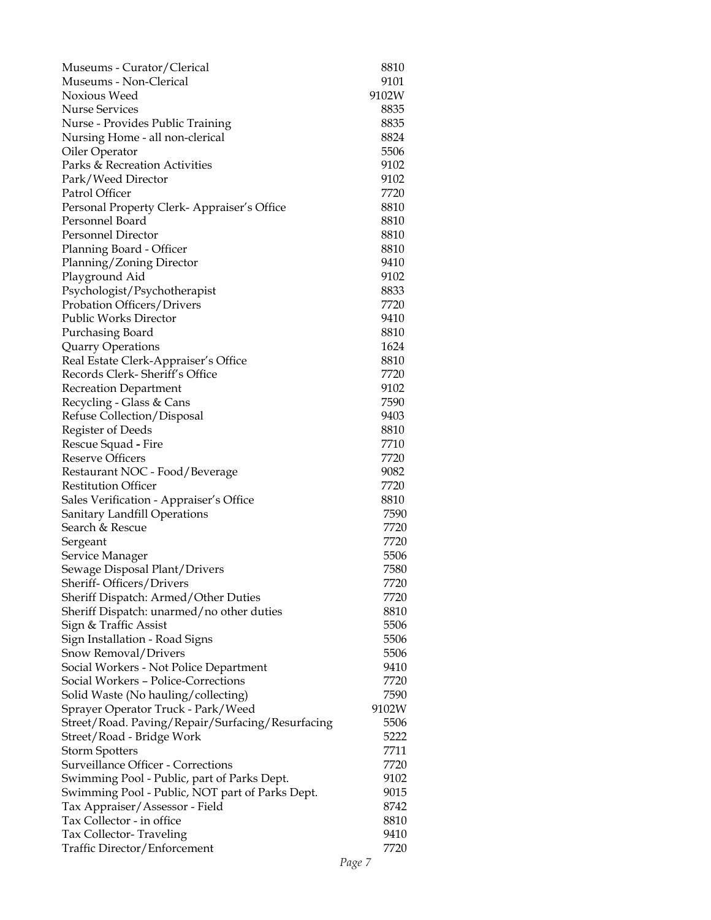| Museums - Curator/Clerical                       | 8810  |
|--------------------------------------------------|-------|
| Museums - Non-Clerical                           | 9101  |
| Noxious Weed                                     | 9102W |
| <b>Nurse Services</b>                            | 8835  |
| Nurse - Provides Public Training                 | 8835  |
| Nursing Home - all non-clerical                  | 8824  |
| Oiler Operator                                   | 5506  |
| Parks & Recreation Activities                    | 9102  |
| Park/Weed Director                               | 9102  |
| Patrol Officer                                   | 7720  |
| Personal Property Clerk-Appraiser's Office       | 8810  |
| Personnel Board                                  | 8810  |
| <b>Personnel Director</b>                        | 8810  |
| Planning Board - Officer                         | 8810  |
| Planning/Zoning Director                         | 9410  |
| Playground Aid                                   | 9102  |
| Psychologist/Psychotherapist                     | 8833  |
| Probation Officers/Drivers                       | 7720  |
| <b>Public Works Director</b>                     | 9410  |
| Purchasing Board                                 | 8810  |
| Quarry Operations                                | 1624  |
| Real Estate Clerk-Appraiser's Office             | 8810  |
| Records Clerk-Sheriff's Office                   | 7720  |
| <b>Recreation Department</b>                     | 9102  |
| Recycling - Glass & Cans                         | 7590  |
| Refuse Collection/Disposal                       | 9403  |
| Register of Deeds                                | 8810  |
| Rescue Squad - Fire                              | 7710  |
| <b>Reserve Officers</b>                          | 7720  |
| Restaurant NOC - Food/Beverage                   | 9082  |
| <b>Restitution Officer</b>                       | 7720  |
| Sales Verification - Appraiser's Office          | 8810  |
| <b>Sanitary Landfill Operations</b>              | 7590  |
| Search & Rescue                                  | 7720  |
| Sergeant                                         | 7720  |
| Service Manager                                  | 5506  |
| Sewage Disposal Plant/Drivers                    | 7580  |
| Sheriff-Officers/Drivers                         | 7720  |
| Sheriff Dispatch: Armed/Other Duties             | 7720  |
| Sheriff Dispatch: unarmed/no other duties        | 8810  |
| Sign & Traffic Assist                            | 5506  |
| Sign Installation - Road Signs                   | 5506  |
| Snow Removal/Drivers                             | 5506  |
| Social Workers - Not Police Department           | 9410  |
| Social Workers - Police-Corrections              | 7720  |
| Solid Waste (No hauling/collecting)              | 7590  |
| Sprayer Operator Truck - Park/Weed               | 9102W |
| Street/Road. Paving/Repair/Surfacing/Resurfacing | 5506  |
| Street/Road - Bridge Work                        | 5222  |
| <b>Storm Spotters</b>                            | 7711  |
| <b>Surveillance Officer - Corrections</b>        | 7720  |
| Swimming Pool - Public, part of Parks Dept.      | 9102  |
| Swimming Pool - Public, NOT part of Parks Dept.  | 9015  |
| Tax Appraiser/Assessor - Field                   | 8742  |
| Tax Collector - in office                        | 8810  |
| Tax Collector-Traveling                          | 9410  |
| Traffic Director/Enforcement                     | 7720  |
|                                                  |       |